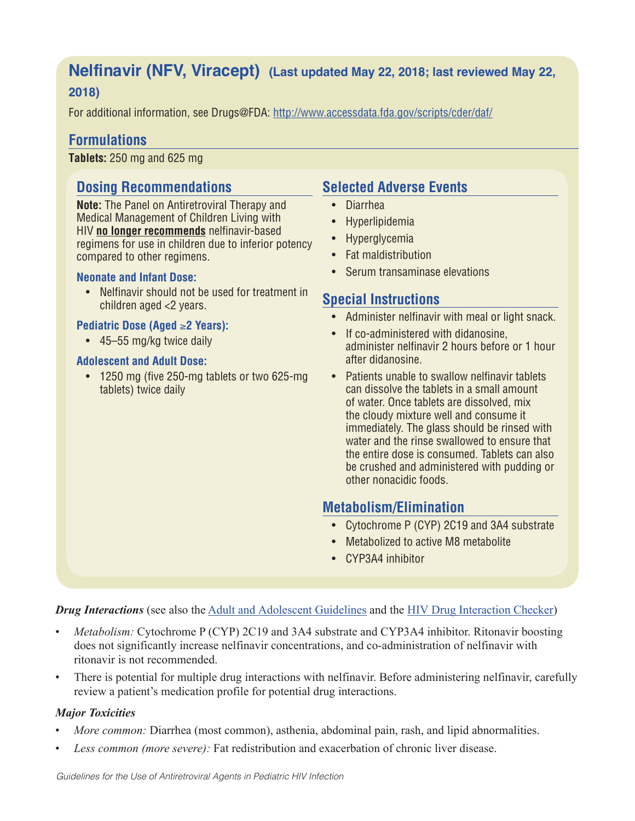# **Nelfinavir (NFV, Viracept) (Last updated May 22, 2018; last reviewed May 22, 2018)**

For additional information, see Drugs@FDA: http://www.accessdata.fda.gov/scripts/cder/daf/

## **Formulations**

**Tablets:** 250 mg and 625 mg

## **Dosing Recommendations**

**Note:** The Panel on Antiretroviral Therapy and Medical Management of Children Living with HIV **no longer recommends** nelfinavir-based regimens for use in children due to inferior potency compared to other regimens.

#### **Neonate and Infant Dose:**

• Nelfinavir should not be used for treatment in children aged <2 years.

#### **Pediatric Dose (Aged** ≥**2 Years):**

• 45–55 mg/kg twice daily

#### **Adolescent and Adult Dose:**

• 1250 mg (five 250-mg tablets or two 625-mg tablets) twice daily

## **Selected Adverse Events**

- Diarrhea
- Hyperlipidemia
- Hyperglycemia
- Fat maldistribution
- Serum transaminase elevations

## **Special Instructions**

- Administer nelfinavir with meal or light snack.
- If co-administered with didanosine, administer nelfinavir 2 hours before or 1 hour after didanosine.
- Patients unable to swallow nelfinavir tablets can dissolve the tablets in a small amount of water. Once tablets are dissolved, mix the cloudy mixture well and consume it immediately. The glass should be rinsed with water and the rinse swallowed to ensure that the entire dose is consumed. Tablets can also be crushed and administered with pudding or other nonacidic foods.

## **Metabolism/Elimination**

- Cytochrome P (CYP) 2C19 and 3A4 substrate
- Metabolized to active M8 metabolite
- CYP3A4 inhibitor

#### *Drug Interactions* (see also the Adult and Adolescent Guidelines and the HIV Drug Interaction Checker)

- *Metabolism:* Cytochrome P (CYP) 2C19 and 3A4 substrate and CYP3A4 inhibitor. Ritonavir boosting does not significantly increase nelfinavir concentrations, and co-administration of nelfinavir with ritonavir is not recommended.
- There is potential for multiple drug interactions with nelfinavir. Before administering nelfinavir, carefully review a patient's medication profile for potential drug interactions.

#### *Major Toxicities*

- *More common:* Diarrhea (most common), asthenia, abdominal pain, rash, and lipid abnormalities.
- *Less common (more severe):* Fat redistribution and exacerbation of chronic liver disease.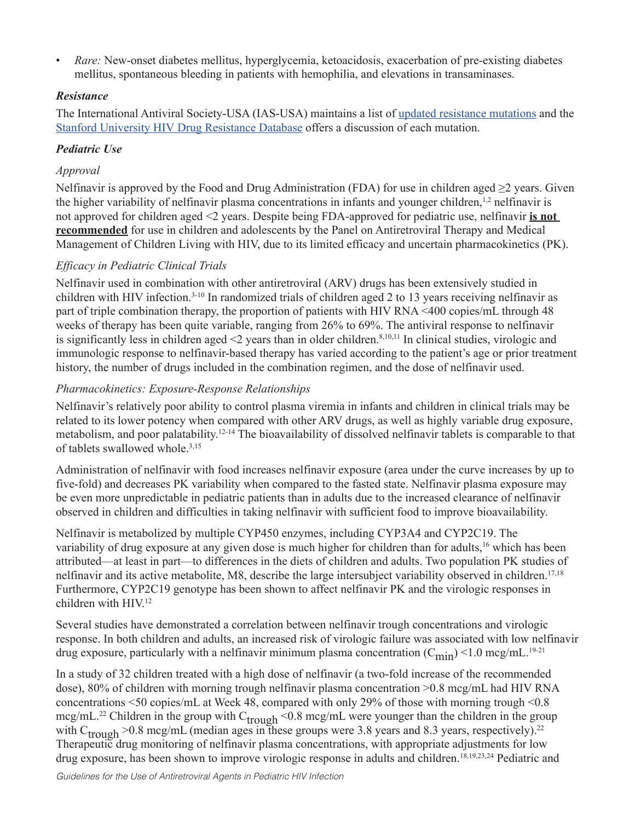• *Rare:* New-onset diabetes mellitus, hyperglycemia, ketoacidosis, exacerbation of pre-existing diabetes mellitus, spontaneous bleeding in patients with hemophilia, and elevations in transaminases.

### *Resistance*

The International Antiviral Society-USA (IAS-USA) maintains a list of updated resistance mutations and the Stanford University HIV Drug Resistance Database offers a discussion of each mutation.

### *Pediatric Use*

### *Approval*

Nelfinavir is approved by the Food and Drug Administration (FDA) for use in children aged  $\geq 2$  years. Given the higher variability of nelfinavir plasma concentrations in infants and younger children,<sup>1,2</sup> nelfinavir is not approved for children aged <2 years. Despite being FDA-approved for pediatric use, nelfinavir **is not recommended** for use in children and adolescents by the Panel on Antiretroviral Therapy and Medical Management of Children Living with HIV, due to its limited efficacy and uncertain pharmacokinetics (PK).

### *Efficacy in Pediatric Clinical Trials*

Nelfinavir used in combination with other antiretroviral (ARV) drugs has been extensively studied in children with HIV infection.3-10 In randomized trials of children aged 2 to 13 years receiving nelfinavir as part of triple combination therapy, the proportion of patients with HIV RNA <400 copies/mL through 48 weeks of therapy has been quite variable, ranging from 26% to 69%. The antiviral response to nelfinavir is significantly less in children aged  $\leq$  years than in older children.<sup>8,10,11</sup> In clinical studies, virologic and immunologic response to nelfinavir-based therapy has varied according to the patient's age or prior treatment history, the number of drugs included in the combination regimen, and the dose of nelfinavir used.

### *Pharmacokinetics: Exposure-Response Relationships*

Nelfinavir's relatively poor ability to control plasma viremia in infants and children in clinical trials may be related to its lower potency when compared with other ARV drugs, as well as highly variable drug exposure, metabolism, and poor palatability.12-14 The bioavailability of dissolved nelfinavir tablets is comparable to that of tablets swallowed whole.3,15

Administration of nelfinavir with food increases nelfinavir exposure (area under the curve increases by up to five-fold) and decreases PK variability when compared to the fasted state. Nelfinavir plasma exposure may be even more unpredictable in pediatric patients than in adults due to the increased clearance of nelfinavir observed in children and difficulties in taking nelfinavir with sufficient food to improve bioavailability.

Nelfinavir is metabolized by multiple CYP450 enzymes, including CYP3A4 and CYP2C19. The variability of drug exposure at any given dose is much higher for children than for adults,<sup>16</sup> which has been attributed—at least in part—to differences in the diets of children and adults. Two population PK studies of nelfinavir and its active metabolite, M8, describe the large intersubject variability observed in children.<sup>17,18</sup> Furthermore, CYP2C19 genotype has been shown to affect nelfinavir PK and the virologic responses in children with HIV.12

Several studies have demonstrated a correlation between nelfinavir trough concentrations and virologic response. In both children and adults, an increased risk of virologic failure was associated with low nelfinavir drug exposure, particularly with a nelfinavir minimum plasma concentration  $(C_{\text{min}})$  <1.0 mcg/mL.<sup>19-21</sup>

In a study of 32 children treated with a high dose of nelfinavir (a two-fold increase of the recommended dose), 80% of children with morning trough nelfinavir plasma concentration >0.8 mcg/mL had HIV RNA concentrations <50 copies/mL at Week 48, compared with only 29% of those with morning trough <0.8 mcg/mL.<sup>22</sup> Children in the group with C<sub>trough</sub> <0.8 mcg/mL were younger than the children in the group with  $C_{\text{trough}} > 0.8$  mcg/mL (median ages in these groups were 3.8 years and 8.3 years, respectively).<sup>22</sup> Therapeutic drug monitoring of nelfinavir plasma concentrations, with appropriate adjustments for low drug exposure, has been shown to improve virologic response in adults and children.18,19,23,24 Pediatric and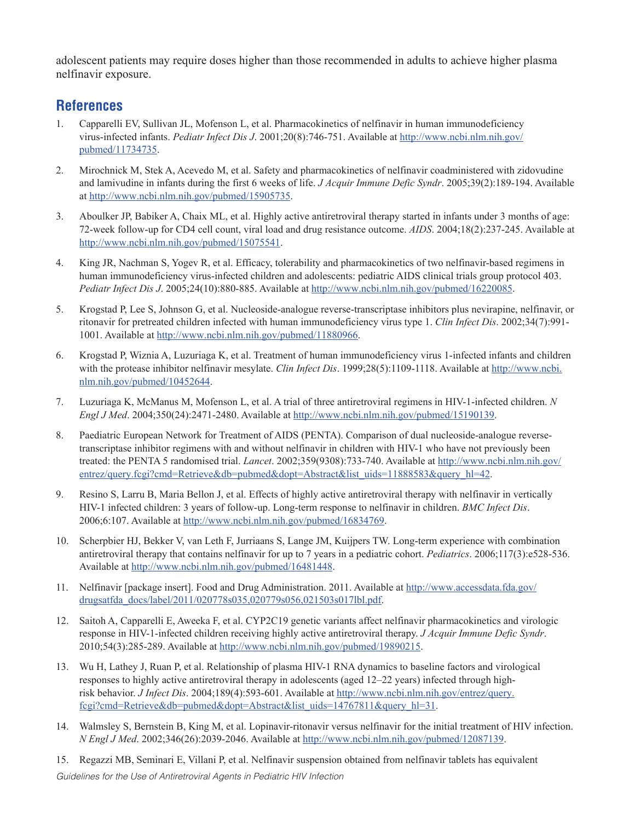adolescent patients may require doses higher than those recommended in adults to achieve higher plasma nelfinavir exposure.

## **References**

- 1. Capparelli EV, Sullivan JL, Mofenson L, et al. Pharmacokinetics of nelfinavir in human immunodeficiency virus-infected infants. *Pediatr Infect Dis J*. 2001;20(8):746-751. Available at http://www.ncbi.nlm.nih.gov/ pubmed/11734735.
- 2. Mirochnick M, Stek A, Acevedo M, et al. Safety and pharmacokinetics of nelfinavir coadministered with zidovudine and lamivudine in infants during the first 6 weeks of life. *J Acquir Immune Defic Syndr*. 2005;39(2):189-194. Available at http://www.ncbi.nlm.nih.gov/pubmed/15905735.
- 3. Aboulker JP, Babiker A, Chaix ML, et al. Highly active antiretroviral therapy started in infants under 3 months of age: 72-week follow-up for CD4 cell count, viral load and drug resistance outcome. *AIDS*. 2004;18(2):237-245. Available at http://www.ncbi.nlm.nih.gov/pubmed/15075541.
- 4. King JR, Nachman S, Yogev R, et al. Efficacy, tolerability and pharmacokinetics of two nelfinavir-based regimens in human immunodeficiency virus-infected children and adolescents: pediatric AIDS clinical trials group protocol 403. *Pediatr Infect Dis J*. 2005;24(10):880-885. Available at http://www.ncbi.nlm.nih.gov/pubmed/16220085.
- 5. Krogstad P, Lee S, Johnson G, et al. Nucleoside-analogue reverse-transcriptase inhibitors plus nevirapine, nelfinavir, or ritonavir for pretreated children infected with human immunodeficiency virus type 1. *Clin Infect Dis*. 2002;34(7):991- 1001. Available at http://www.ncbi.nlm.nih.gov/pubmed/11880966.
- 6. Krogstad P, Wiznia A, Luzuriaga K, et al. Treatment of human immunodeficiency virus 1-infected infants and children with the protease inhibitor nelfinavir mesylate. *Clin Infect Dis*. 1999;28(5):1109-1118. Available at http://www.ncbi. nlm.nih.gov/pubmed/10452644.
- 7. Luzuriaga K, McManus M, Mofenson L, et al. A trial of three antiretroviral regimens in HIV-1-infected children. *N Engl J Med*. 2004;350(24):2471-2480. Available at http://www.ncbi.nlm.nih.gov/pubmed/15190139.
- 8. Paediatric European Network for Treatment of AIDS (PENTA). Comparison of dual nucleoside-analogue reversetranscriptase inhibitor regimens with and without nelfinavir in children with HIV-1 who have not previously been treated: the PENTA 5 randomised trial. *Lancet*. 2002;359(9308):733-740. Available at http://www.ncbi.nlm.nih.gov/ entrez/query.fcgi?cmd=Retrieve&db=pubmed&dopt=Abstract&list\_uids=11888583&query\_hl=42.
- 9. Resino S, Larru B, Maria Bellon J, et al. Effects of highly active antiretroviral therapy with nelfinavir in vertically HIV-1 infected children: 3 years of follow-up. Long-term response to nelfinavir in children. *BMC Infect Dis*. 2006;6:107. Available at http://www.ncbi.nlm.nih.gov/pubmed/16834769.
- 10. Scherpbier HJ, Bekker V, van Leth F, Jurriaans S, Lange JM, Kuijpers TW. Long-term experience with combination antiretroviral therapy that contains nelfinavir for up to 7 years in a pediatric cohort. *Pediatrics*. 2006;117(3):e528-536. Available at http://www.ncbi.nlm.nih.gov/pubmed/16481448.
- 11. Nelfinavir [package insert]. Food and Drug Administration. 2011. Available at http://www.accessdata.fda.gov/ drugsatfda\_docs/label/2011/020778s035,020779s056,021503s017lbl.pdf.
- 12. Saitoh A, Capparelli E, Aweeka F, et al. CYP2C19 genetic variants affect nelfinavir pharmacokinetics and virologic response in HIV-1-infected children receiving highly active antiretroviral therapy. *J Acquir Immune Defic Syndr*. 2010;54(3):285-289. Available at http://www.ncbi.nlm.nih.gov/pubmed/19890215.
- 13. Wu H, Lathey J, Ruan P, et al. Relationship of plasma HIV-1 RNA dynamics to baseline factors and virological responses to highly active antiretroviral therapy in adolescents (aged 12–22 years) infected through highrisk behavior. *J Infect Dis*. 2004;189(4):593-601. Available at http://www.ncbi.nlm.nih.gov/entrez/query. fcgi?cmd=Retrieve&db=pubmed&dopt=Abstract&list\_uids=14767811&query\_hl=31.
- 14. Walmsley S, Bernstein B, King M, et al. Lopinavir-ritonavir versus nelfinavir for the initial treatment of HIV infection. *N Engl J Med*. 2002;346(26):2039-2046. Available at http://www.ncbi.nlm.nih.gov/pubmed/12087139.
- 15. Regazzi MB, Seminari E, Villani P, et al. Nelfinavir suspension obtained from nelfinavir tablets has equivalent

*Guidelines for the Use of Antiretroviral Agents in Pediatric HIV Infection*